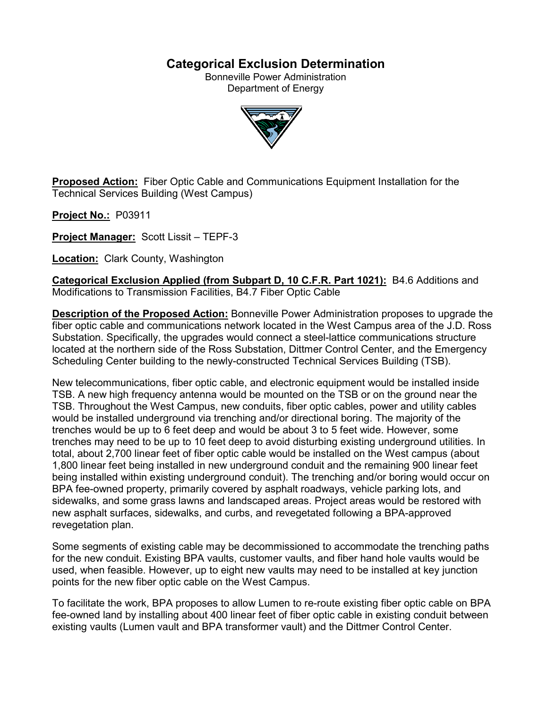# **Categorical Exclusion Determination**

Bonneville Power Administration Department of Energy



**Proposed Action:** Fiber Optic Cable and Communications Equipment Installation for the Technical Services Building (West Campus)

**Project No.:** P03911

**Project Manager:** Scott Lissit – TEPF-3

**Location: Clark County, Washington** 

**Categorical Exclusion Applied (from Subpart D, 10 C.F.R. Part 1021):** B4.6 Additions and Modifications to Transmission Facilities, B4.7 Fiber Optic Cable

**Description of the Proposed Action:** Bonneville Power Administration proposes to upgrade the fiber optic cable and communications network located in the West Campus area of the J.D. Ross Substation. Specifically, the upgrades would connect a steel-lattice communications structure located at the northern side of the Ross Substation, Dittmer Control Center, and the Emergency Scheduling Center building to the newly-constructed Technical Services Building (TSB).

New telecommunications, fiber optic cable, and electronic equipment would be installed inside TSB. A new high frequency antenna would be mounted on the TSB or on the ground near the TSB. Throughout the West Campus, new conduits, fiber optic cables, power and utility cables would be installed underground via trenching and/or directional boring. The majority of the trenches would be up to 6 feet deep and would be about 3 to 5 feet wide. However, some trenches may need to be up to 10 feet deep to avoid disturbing existing underground utilities. In total, about 2,700 linear feet of fiber optic cable would be installed on the West campus (about 1,800 linear feet being installed in new underground conduit and the remaining 900 linear feet being installed within existing underground conduit). The trenching and/or boring would occur on BPA fee-owned property, primarily covered by asphalt roadways, vehicle parking lots, and sidewalks, and some grass lawns and landscaped areas. Project areas would be restored with new asphalt surfaces, sidewalks, and curbs, and revegetated following a BPA-approved revegetation plan.

Some segments of existing cable may be decommissioned to accommodate the trenching paths for the new conduit. Existing BPA vaults, customer vaults, and fiber hand hole vaults would be used, when feasible. However, up to eight new vaults may need to be installed at key junction points for the new fiber optic cable on the West Campus.

To facilitate the work, BPA proposes to allow Lumen to re-route existing fiber optic cable on BPA fee-owned land by installing about 400 linear feet of fiber optic cable in existing conduit between existing vaults (Lumen vault and BPA transformer vault) and the Dittmer Control Center.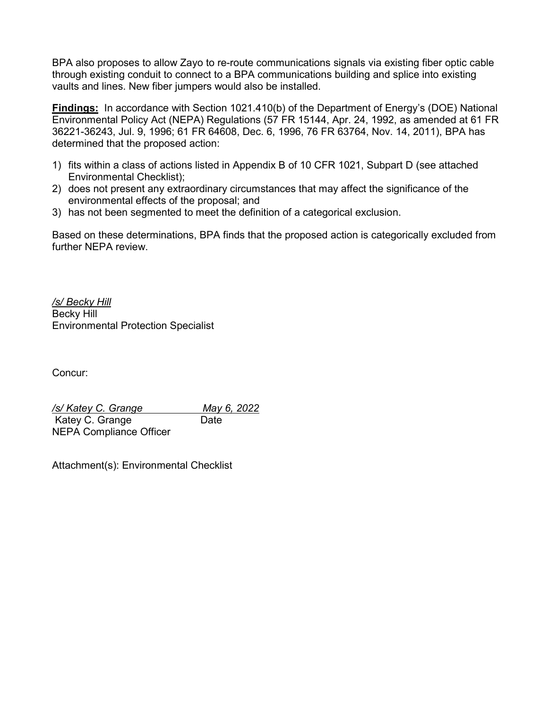BPA also proposes to allow Zayo to re-route communications signals via existing fiber optic cable through existing conduit to connect to a BPA communications building and splice into existing vaults and lines. New fiber jumpers would also be installed.

**Findings:** In accordance with Section 1021.410(b) of the Department of Energy's (DOE) National Environmental Policy Act (NEPA) Regulations (57 FR 15144, Apr. 24, 1992, as amended at 61 FR 36221-36243, Jul. 9, 1996; 61 FR 64608, Dec. 6, 1996, 76 FR 63764, Nov. 14, 2011), BPA has determined that the proposed action:

- 1) fits within a class of actions listed in Appendix B of 10 CFR 1021, Subpart D (see attached Environmental Checklist);
- 2) does not present any extraordinary circumstances that may affect the significance of the environmental effects of the proposal; and
- 3) has not been segmented to meet the definition of a categorical exclusion.

Based on these determinations, BPA finds that the proposed action is categorically excluded from further NEPA review.

*/s/ Becky Hill* Becky Hill Environmental Protection Specialist

Concur:

*/s/ Katey C. Grange May 6, 2022* Katey C. Grange Date NEPA Compliance Officer

Attachment(s): Environmental Checklist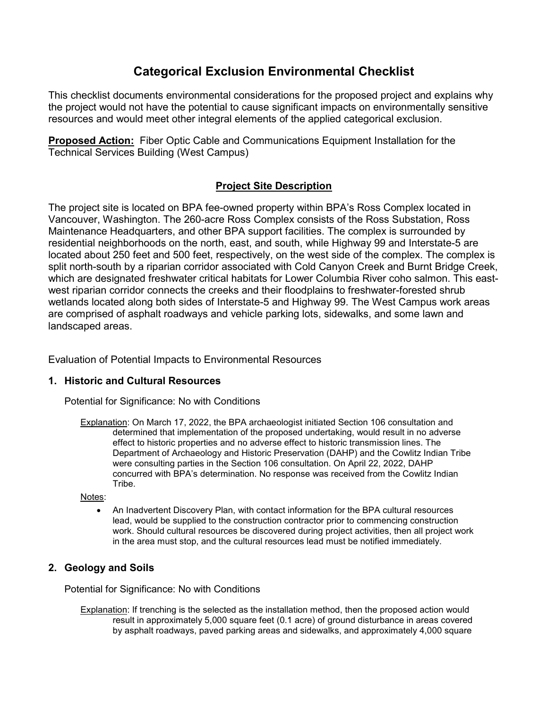# **Categorical Exclusion Environmental Checklist**

This checklist documents environmental considerations for the proposed project and explains why the project would not have the potential to cause significant impacts on environmentally sensitive resources and would meet other integral elements of the applied categorical exclusion.

**Proposed Action:** Fiber Optic Cable and Communications Equipment Installation for the Technical Services Building (West Campus)

## **Project Site Description**

The project site is located on BPA fee-owned property within BPA's Ross Complex located in Vancouver, Washington. The 260-acre Ross Complex consists of the Ross Substation, Ross Maintenance Headquarters, and other BPA support facilities. The complex is surrounded by residential neighborhoods on the north, east, and south, while Highway 99 and Interstate-5 are located about 250 feet and 500 feet, respectively, on the west side of the complex. The complex is split north-south by a riparian corridor associated with Cold Canyon Creek and Burnt Bridge Creek, which are designated freshwater critical habitats for Lower Columbia River coho salmon. This eastwest riparian corridor connects the creeks and their floodplains to freshwater-forested shrub wetlands located along both sides of Interstate-5 and Highway 99. The West Campus work areas are comprised of asphalt roadways and vehicle parking lots, sidewalks, and some lawn and landscaped areas.

Evaluation of Potential Impacts to Environmental Resources

## **1. Historic and Cultural Resources**

Potential for Significance: No with Conditions

Explanation: On March 17, 2022, the BPA archaeologist initiated Section 106 consultation and determined that implementation of the proposed undertaking, would result in no adverse effect to historic properties and no adverse effect to historic transmission lines. The Department of Archaeology and Historic Preservation (DAHP) and the Cowlitz Indian Tribe were consulting parties in the Section 106 consultation. On April 22, 2022, DAHP concurred with BPA's determination. No response was received from the Cowlitz Indian Tribe.

Notes:

• An Inadvertent Discovery Plan, with contact information for the BPA cultural resources lead, would be supplied to the construction contractor prior to commencing construction work. Should cultural resources be discovered during project activities, then all project work in the area must stop, and the cultural resources lead must be notified immediately.

## **2. Geology and Soils**

Potential for Significance: No with Conditions

Explanation: If trenching is the selected as the installation method, then the proposed action would result in approximately 5,000 square feet (0.1 acre) of ground disturbance in areas covered by asphalt roadways, paved parking areas and sidewalks, and approximately 4,000 square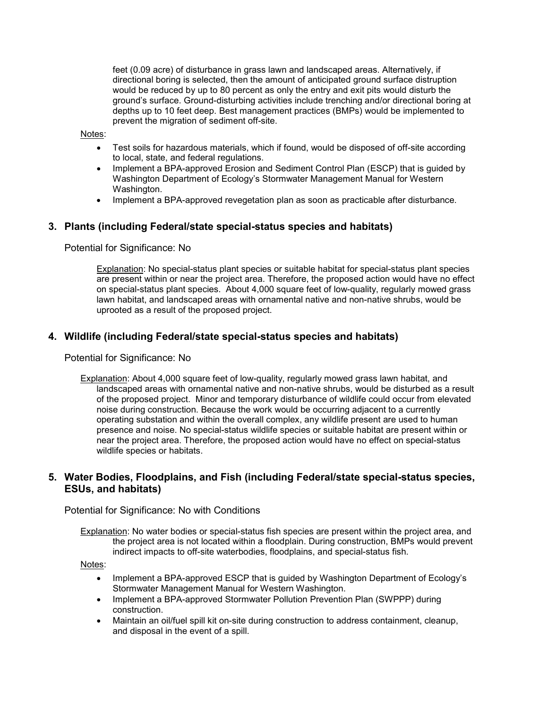feet (0.09 acre) of disturbance in grass lawn and landscaped areas. Alternatively, if directional boring is selected, then the amount of anticipated ground surface distruption would be reduced by up to 80 percent as only the entry and exit pits would disturb the ground's surface. Ground-disturbing activities include trenching and/or directional boring at depths up to 10 feet deep. Best management practices (BMPs) would be implemented to prevent the migration of sediment off-site.

Notes:

- Test soils for hazardous materials, which if found, would be disposed of off-site according to local, state, and federal regulations.
- Implement a BPA-approved Erosion and Sediment Control Plan (ESCP) that is guided by Washington Department of Ecology's Stormwater Management Manual for Western Washington.
- Implement a BPA-approved revegetation plan as soon as practicable after disturbance.

#### **3. Plants (including Federal/state special-status species and habitats)**

Potential for Significance: No

Explanation: No special-status plant species or suitable habitat for special-status plant species are present within or near the project area. Therefore, the proposed action would have no effect on special-status plant species. About 4,000 square feet of low-quality, regularly mowed grass lawn habitat, and landscaped areas with ornamental native and non-native shrubs, would be uprooted as a result of the proposed project.

#### **4. Wildlife (including Federal/state special-status species and habitats)**

Potential for Significance: No

Explanation: About 4,000 square feet of low-quality, regularly mowed grass lawn habitat, and landscaped areas with ornamental native and non-native shrubs, would be disturbed as a result of the proposed project. Minor and temporary disturbance of wildlife could occur from elevated noise during construction. Because the work would be occurring adjacent to a currently operating substation and within the overall complex, any wildlife present are used to human presence and noise. No special-status wildlife species or suitable habitat are present within or near the project area. Therefore, the proposed action would have no effect on special-status wildlife species or habitats.

### **5. Water Bodies, Floodplains, and Fish (including Federal/state special-status species, ESUs, and habitats)**

Potential for Significance: No with Conditions

Explanation: No water bodies or special-status fish species are present within the project area, and the project area is not located within a floodplain. During construction, BMPs would prevent indirect impacts to off-site waterbodies, floodplains, and special-status fish.

Notes:

- Implement a BPA-approved ESCP that is guided by Washington Department of Ecology's Stormwater Management Manual for Western Washington.
- Implement a BPA-approved Stormwater Pollution Prevention Plan (SWPPP) during construction.
- Maintain an oil/fuel spill kit on-site during construction to address containment, cleanup, and disposal in the event of a spill.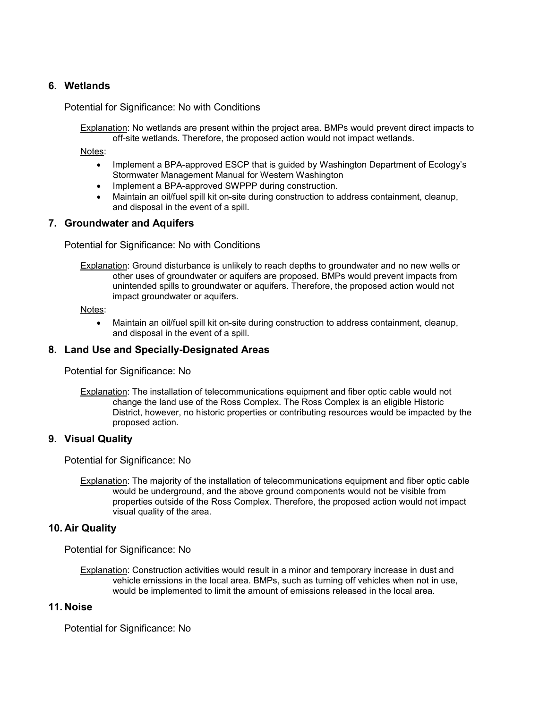### **6. Wetlands**

Potential for Significance: No with Conditions

Explanation: No wetlands are present within the project area. BMPs would prevent direct impacts to off-site wetlands. Therefore, the proposed action would not impact wetlands.

Notes:

- Implement a BPA-approved ESCP that is guided by Washington Department of Ecology's Stormwater Management Manual for Western Washington
- Implement a BPA-approved SWPPP during construction.
- Maintain an oil/fuel spill kit on-site during construction to address containment, cleanup, and disposal in the event of a spill.

#### **7. Groundwater and Aquifers**

Potential for Significance: No with Conditions

**Explanation:** Ground disturbance is unlikely to reach depths to groundwater and no new wells or other uses of groundwater or aquifers are proposed. BMPs would prevent impacts from unintended spills to groundwater or aquifers. Therefore, the proposed action would not impact groundwater or aquifers.

Notes:

• Maintain an oil/fuel spill kit on-site during construction to address containment, cleanup, and disposal in the event of a spill.

#### **8. Land Use and Specially-Designated Areas**

Potential for Significance: No

Explanation: The installation of telecommunications equipment and fiber optic cable would not change the land use of the Ross Complex. The Ross Complex is an eligible Historic District, however, no historic properties or contributing resources would be impacted by the proposed action.

#### **9. Visual Quality**

Potential for Significance: No

Explanation: The majority of the installation of telecommunications equipment and fiber optic cable would be underground, and the above ground components would not be visible from properties outside of the Ross Complex. Therefore, the proposed action would not impact visual quality of the area.

#### **10. Air Quality**

Potential for Significance: No

Explanation: Construction activities would result in a minor and temporary increase in dust and vehicle emissions in the local area. BMPs, such as turning off vehicles when not in use, would be implemented to limit the amount of emissions released in the local area.

#### **11. Noise**

Potential for Significance: No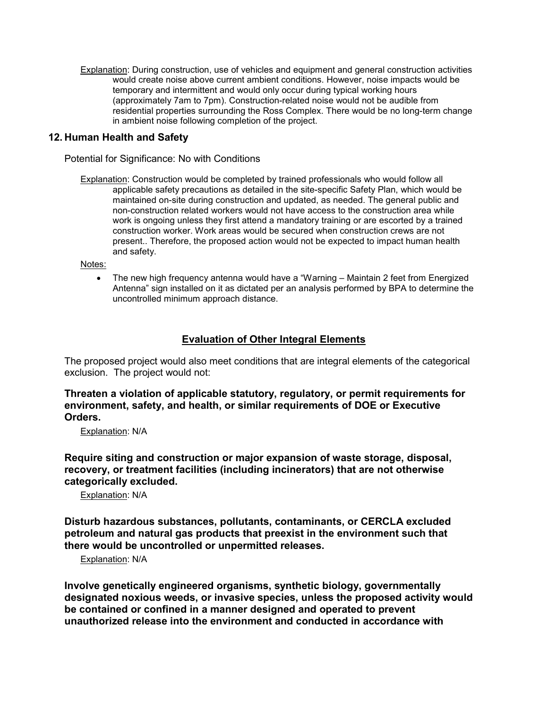Explanation: During construction, use of vehicles and equipment and general construction activities would create noise above current ambient conditions. However, noise impacts would be temporary and intermittent and would only occur during typical working hours (approximately 7am to 7pm). Construction-related noise would not be audible from residential properties surrounding the Ross Complex. There would be no long-term change in ambient noise following completion of the project.

### **12. Human Health and Safety**

Potential for Significance: No with Conditions

Explanation: Construction would be completed by trained professionals who would follow all applicable safety precautions as detailed in the site-specific Safety Plan, which would be maintained on-site during construction and updated, as needed. The general public and non-construction related workers would not have access to the construction area while work is ongoing unless they first attend a mandatory training or are escorted by a trained construction worker. Work areas would be secured when construction crews are not present.. Therefore, the proposed action would not be expected to impact human health and safety.

Notes:

• The new high frequency antenna would have a "Warning – Maintain 2 feet from Energized Antenna" sign installed on it as dictated per an analysis performed by BPA to determine the uncontrolled minimum approach distance.

### **Evaluation of Other Integral Elements**

The proposed project would also meet conditions that are integral elements of the categorical exclusion. The project would not:

**Threaten a violation of applicable statutory, regulatory, or permit requirements for environment, safety, and health, or similar requirements of DOE or Executive Orders.**

Explanation: N/A

**Require siting and construction or major expansion of waste storage, disposal, recovery, or treatment facilities (including incinerators) that are not otherwise categorically excluded.**

Explanation: N/A

**Disturb hazardous substances, pollutants, contaminants, or CERCLA excluded petroleum and natural gas products that preexist in the environment such that there would be uncontrolled or unpermitted releases.**

Explanation: N/A

**Involve genetically engineered organisms, synthetic biology, governmentally designated noxious weeds, or invasive species, unless the proposed activity would be contained or confined in a manner designed and operated to prevent unauthorized release into the environment and conducted in accordance with**